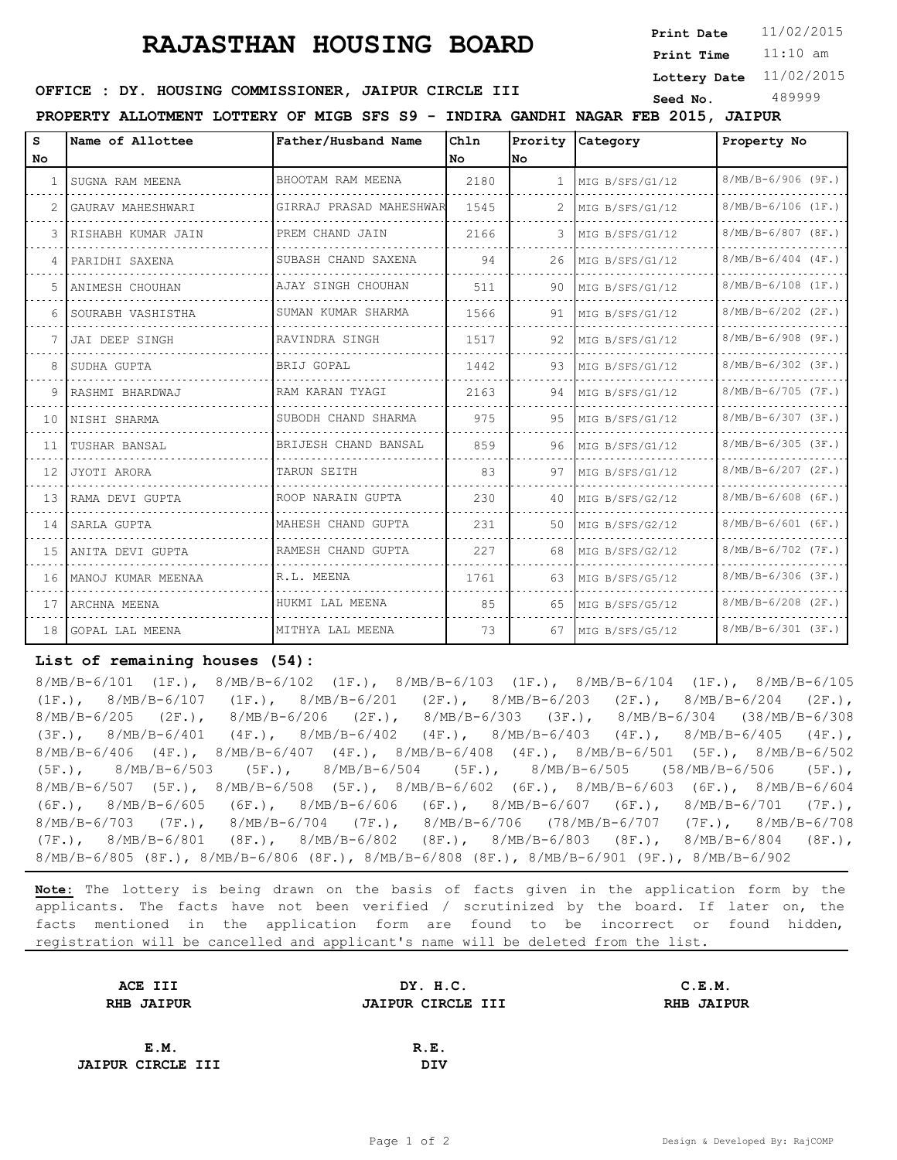# **RAJASTHAN HOUSING BOARD**

**Print Date**

11:10 am **Print Time**

**Lottery Date** 11/02/2015

## **SEED OFFICE : DY. HOUSING COMMISSIONER, JAIPUR CIRCLE III** Seed No. 489999

**PROPERTY ALLOTMENT LOTTERY OF MIGB SFS S9 - INDIRA GANDHI NAGAR FEB 2015, JAIPUR**

| s         | Name of Allottee      | Father/Husband Name     | Chln |              | Prority Category | Property No          |
|-----------|-----------------------|-------------------------|------|--------------|------------------|----------------------|
| <b>No</b> |                       |                         | No.  | lno.         |                  |                      |
|           | SUGNA RAM MEENA       | BHOOTAM RAM MEENA       | 2180 | $\mathbf{1}$ | MIG B/SFS/G1/12  | $8/MB/B-6/906$ (9F.) |
| 2.        | GAURAV MAHESHWARI     | GIRRAJ PRASAD MAHESHWAR | 1545 | 2            | MIG B/SFS/G1/12  | $8/MB/B-6/106$ (1F.) |
|           | 3 IRISHABH KUMAR JAIN | PREM CHAND JAIN         | 2166 | 3            | MIG B/SFS/G1/12  | $8/MB/B-6/807$ (8F.) |
|           | 4   PARIDHI SAXENA    | SUBASH CHAND SAXENA     | 94   | 26           | MIG B/SFS/G1/12  | $8/MB/B-6/404$ (4F.) |
|           | 5 ANIMESH CHOUHAN     | AJAY SINGH CHOUHAN      | 511  | 90           | MIG B/SFS/G1/12  | $8/MB/B-6/108$ (1F.) |
|           | SOURABH VASHISTHA     | SUMAN KUMAR SHARMA      | 1566 | 91           | MIG B/SFS/G1/12  | $8/MB/B-6/202$ (2F.) |
|           | JAI DEEP SINGH        | RAVINDRA SINGH          | 1517 | 92           | MIG B/SFS/G1/12  | $8/MB/B-6/908$ (9F.) |
|           | SUDHA GUPTA           | BRIJ GOPAL              | 1442 | 93           | MIG B/SFS/G1/12  | $8/MB/B-6/302$ (3F.) |
|           | 9 RASHMI BHARDWAJ     | RAM KARAN TYAGI         | 2163 | 94           | MIG B/SFS/G1/12  | $8/MB/B-6/705$ (7F.) |
| 10        | INISHI SHARMA         | SUBODH CHAND SHARMA     | 975  | 95           | MIG B/SFS/G1/12  | $8/MB/B-6/307 (3F.)$ |
|           | 11 ITUSHAR BANSAL     | BRIJESH CHAND BANSAL    | 859  | 96           | MIG B/SFS/G1/12  | $8/MB/B-6/305 (3F.)$ |
| 12 I      | JYOTI ARORA           | TARUN SEITH             | 83   | 97           | MIG B/SFS/G1/12  | $8/MB/B-6/207$ (2F.) |
|           | 13 RAMA DEVI GUPTA    | ROOP NARAIN GUPTA       | 230  | 40           | MIG B/SFS/G2/12  | $8/MB/B-6/608$ (6F.) |
|           | 14 SARLA GUPTA        | MAHESH CHAND GUPTA      | 231  | 50           | MIG B/SFS/G2/12  | $8/MB/B-6/601$ (6F.) |
| 15        | ANITA DEVI GUPTA      | RAMESH CHAND GUPTA      | 227  | 68           | MIG B/SFS/G2/12  | $8/MB/B-6/702$ (7F.) |
|           | 16 MANOJ KUMAR MEENAA | R.L. MEENA              | 1761 | 63           | MIG B/SFS/G5/12  | $8/MB/B-6/306$ (3F.) |
| 17        | LARCHNA MEENA         | HUKMI LAL MEENA         | 85   | 65           | MIG B/SFS/G5/12  | $8/MB/B-6/208$ (2F.) |
|           | 18 GOPAL LAL MEENA    | MITHYA LAL MEENA        | 73   | 67           | MIG B/SFS/G5/12  | $8/MB/B-6/301$ (3F.) |

#### **List of remaining houses (54):**

8/MB/B-6/101 (1F.), 8/MB/B-6/102 (1F.), 8/MB/B-6/103 (1F.), 8/MB/B-6/104 (1F.), 8/MB/B-6/105 (1F.), 8/MB/B-6/107 (1F.), 8/MB/B-6/201 (2F.), 8/MB/B-6/203 (2F.), 8/MB/B-6/204 (2F.), 8/MB/B-6/205 (2F.), 8/MB/B-6/206 (2F.), 8/MB/B-6/303 (3F.), 8/MB/B-6/304 (38/MB/B-6/308 (3F.), 8/MB/B-6/401 (4F.), 8/MB/B-6/402 (4F.), 8/MB/B-6/403 (4F.), 8/MB/B-6/405 (4F.), 8/MB/B-6/406 (4F.), 8/MB/B-6/407 (4F.), 8/MB/B-6/408 (4F.), 8/MB/B-6/501 (5F.), 8/MB/B-6/502 (5F.), 8/MB/B-6/503 (5F.), 8/MB/B-6/504 (5F.), 8/MB/B-6/505 (58/MB/B-6/506 (5F.), 8/MB/B-6/507 (5F.), 8/MB/B-6/508 (5F.), 8/MB/B-6/602 (6F.), 8/MB/B-6/603 (6F.), 8/MB/B-6/604 (6F.), 8/MB/B-6/605 (6F.), 8/MB/B-6/606 (6F.), 8/MB/B-6/607 (6F.), 8/MB/B-6/701 (7F.), 8/MB/B-6/703 (7F.), 8/MB/B-6/704 (7F.), 8/MB/B-6/706 (78/MB/B-6/707 (7F.), 8/MB/B-6/708 (7F.), 8/MB/B-6/801 (8F.), 8/MB/B-6/802 (8F.), 8/MB/B-6/803 (8F.), 8/MB/B-6/804 (8F.), 8/MB/B-6/805 (8F.), 8/MB/B-6/806 (8F.), 8/MB/B-6/808 (8F.), 8/MB/B-6/901 (9F.), 8/MB/B-6/902

**Note:** The lottery is being drawn on the basis of facts given in the application form by the applicants. The facts have not been verified / scrutinized by the board. If later on, the facts mentioned in the application form are found to be incorrect or found hidden, registration will be cancelled and applicant's name will be deleted from the list.

| ACE III                  | DY. H.C.                 | C.E.M.     |  |
|--------------------------|--------------------------|------------|--|
| <b>RHB JAIPUR</b>        | <b>JAIPUR CIRCLE III</b> | RHB JAIPUR |  |
|                          |                          |            |  |
| E.M.                     | R.E.                     |            |  |
| <b>JAIPUR CIRCLE III</b> | DIV                      |            |  |